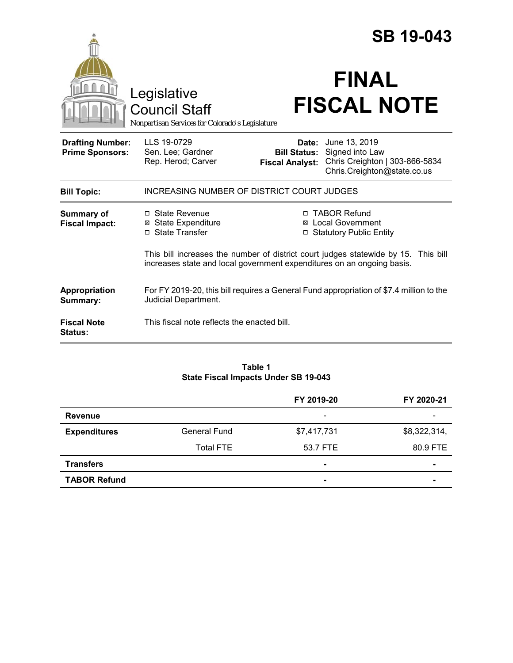|                                                   |                                                                                        |                                               | <b>SB 19-043</b>                                                                                               |
|---------------------------------------------------|----------------------------------------------------------------------------------------|-----------------------------------------------|----------------------------------------------------------------------------------------------------------------|
|                                                   | Legislative<br><b>Council Staff</b><br>Nonpartisan Services for Colorado's Legislature |                                               | <b>FINAL</b><br><b>FISCAL NOTE</b>                                                                             |
| <b>Drafting Number:</b><br><b>Prime Sponsors:</b> | LLS 19-0729<br>Sen. Lee; Gardner<br>Rep. Herod; Carver                                 | <b>Bill Status:</b><br><b>Fiscal Analyst:</b> | <b>Date:</b> June 13, 2019<br>Signed into Law<br>Chris Creighton   303-866-5834<br>Chris.Creighton@state.co.us |
| <b>Bill Topic:</b>                                | INCREASING NUMBER OF DISTRICT COURT JUDGES                                             |                                               |                                                                                                                |
| <b>Summary of</b><br><b>Fiscal Impact:</b>        | $\Box$ State Revenue<br><b>⊠</b> State Expenditure<br>□ State Transfer                 | $\Box$                                        | □ TABOR Refund<br><b>⊠</b> Local Government<br><b>Statutory Public Entity</b>                                  |
|                                                   | increases state and local government expenditures on an ongoing basis.                 |                                               | This bill increases the number of district court judges statewide by 15. This bill                             |
| Appropriation<br>Summary:                         | Judicial Department.                                                                   |                                               | For FY 2019-20, this bill requires a General Fund appropriation of \$7.4 million to the                        |
| <b>Fiscal Note</b><br><b>Status:</b>              | This fiscal note reflects the enacted bill.                                            |                                               |                                                                                                                |

### **Table 1 State Fiscal Impacts Under SB 19-043**

|                     |                     | FY 2019-20               | FY 2020-21               |
|---------------------|---------------------|--------------------------|--------------------------|
| <b>Revenue</b>      |                     | $\overline{\phantom{a}}$ | $\overline{\phantom{a}}$ |
| <b>Expenditures</b> | <b>General Fund</b> | \$7,417,731              | \$8,322,314,             |
|                     | <b>Total FTE</b>    | 53.7 FTE                 | 80.9 FTE                 |
| <b>Transfers</b>    |                     | $\blacksquare$           |                          |
| <b>TABOR Refund</b> |                     | $\blacksquare$           |                          |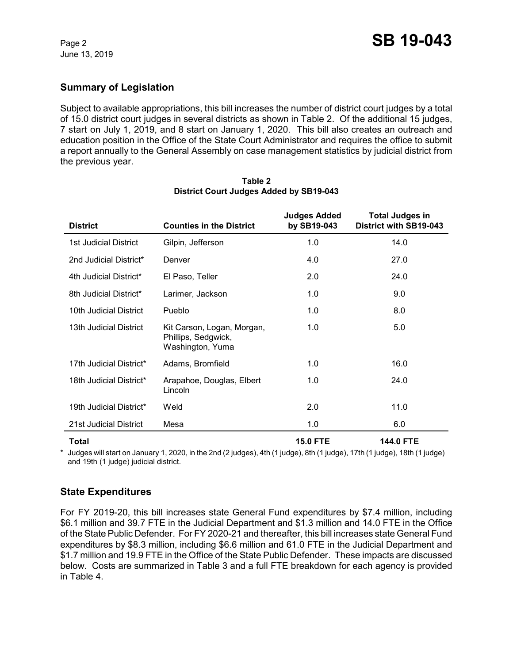# **Summary of Legislation**

Subject to available appropriations, this bill increases the number of district court judges by a total of 15.0 district court judges in several districts as shown in Table 2. Of the additional 15 judges, 7 start on July 1, 2019, and 8 start on January 1, 2020. This bill also creates an outreach and education position in the Office of the State Court Administrator and requires the office to submit a report annually to the General Assembly on case management statistics by judicial district from the previous year.

| <b>District</b>         | <b>Counties in the District</b>                                       | <b>Judges Added</b><br>by SB19-043 | <b>Total Judges in</b><br>District with SB19-043 |
|-------------------------|-----------------------------------------------------------------------|------------------------------------|--------------------------------------------------|
| 1st Judicial District   | Gilpin, Jefferson                                                     | 1.0                                | 14.0                                             |
| 2nd Judicial District*  | Denver                                                                | 4.0                                | 27.0                                             |
| 4th Judicial District*  | El Paso, Teller                                                       | 2.0                                | 24.0                                             |
| 8th Judicial District*  | Larimer, Jackson                                                      | 1.0                                | 9.0                                              |
| 10th Judicial District  | Pueblo                                                                | 1.0                                | 8.0                                              |
| 13th Judicial District  | Kit Carson, Logan, Morgan,<br>Phillips, Sedgwick,<br>Washington, Yuma | 1.0                                | 5.0                                              |
| 17th Judicial District* | Adams, Bromfield                                                      | 1.0                                | 16.0                                             |
| 18th Judicial District* | Arapahoe, Douglas, Elbert<br>Lincoln                                  | 1.0                                | 24.0                                             |
| 19th Judicial District* | Weld                                                                  | 2.0                                | 11.0                                             |
| 21st Judicial District  | Mesa                                                                  | 1.0                                | 6.0                                              |
| Total                   |                                                                       | <b>15.0 FTE</b>                    | <b>144.0 FTE</b>                                 |

#### **Table 2 District Court Judges Added by SB19-043**

\* Judges will start on January 1, 2020, in the 2nd (2 judges), 4th (1 judge), 8th (1 judge), 17th (1 judge), 18th (1 judge) and 19th (1 judge) judicial district.

# **State Expenditures**

For FY 2019-20, this bill increases state General Fund expenditures by \$7.4 million, including \$6.1 million and 39.7 FTE in the Judicial Department and \$1.3 million and 14.0 FTE in the Office of the State Public Defender. For FY 2020-21 and thereafter, this bill increases state General Fund expenditures by \$8.3 million, including \$6.6 million and 61.0 FTE in the Judicial Department and \$1.7 million and 19.9 FTE in the Office of the State Public Defender. These impacts are discussed below. Costs are summarized in Table 3 and a full FTE breakdown for each agency is provided in Table 4.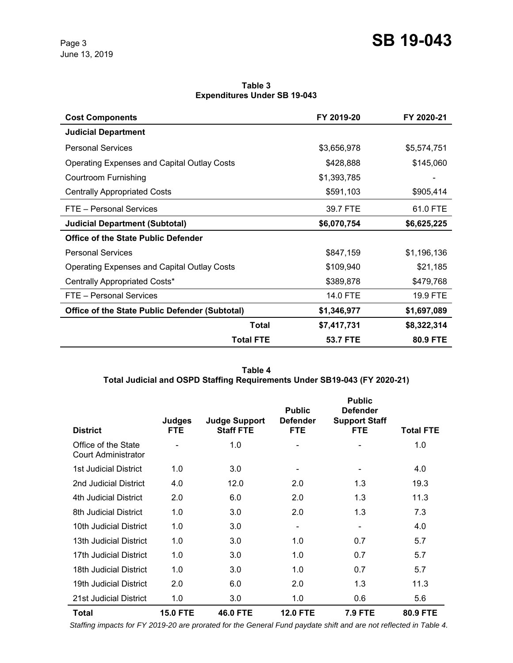**Table 3 Expenditures Under SB 19-043**

| <b>Cost Components</b>                                |                  | FY 2019-20      | FY 2020-21  |
|-------------------------------------------------------|------------------|-----------------|-------------|
| <b>Judicial Department</b>                            |                  |                 |             |
| <b>Personal Services</b>                              |                  | \$3,656,978     | \$5,574,751 |
| <b>Operating Expenses and Capital Outlay Costs</b>    |                  | \$428,888       | \$145,060   |
| Courtroom Furnishing                                  |                  | \$1,393,785     |             |
| <b>Centrally Appropriated Costs</b>                   |                  | \$591,103       | \$905,414   |
| FTE - Personal Services                               |                  | 39.7 FTE        | 61.0 FTE    |
| <b>Judicial Department (Subtotal)</b>                 |                  | \$6,070,754     | \$6,625,225 |
| <b>Office of the State Public Defender</b>            |                  |                 |             |
| <b>Personal Services</b>                              |                  | \$847,159       | \$1,196,136 |
| <b>Operating Expenses and Capital Outlay Costs</b>    |                  | \$109,940       | \$21,185    |
| Centrally Appropriated Costs*                         |                  | \$389,878       | \$479,768   |
| FTE - Personal Services                               |                  | 14.0 FTE        | 19.9 FTE    |
| <b>Office of the State Public Defender (Subtotal)</b> |                  | \$1,346,977     | \$1,697,089 |
|                                                       | <b>Total</b>     | \$7,417,731     | \$8,322,314 |
|                                                       | <b>Total FTE</b> | <b>53.7 FTE</b> | 80.9 FTE    |

**Table 4 Total Judicial and OSPD Staffing Requirements Under SB19-043 (FY 2020-21)**

| <b>District</b>                                   | <b>Judges</b><br><b>FTE</b> | <b>Judge Support</b><br><b>Staff FTE</b> | <b>Public</b><br><b>Defender</b><br><b>FTE</b> | <b>Public</b><br><b>Defender</b><br><b>Support Staff</b><br><b>FTE</b> | <b>Total FTE</b> |
|---------------------------------------------------|-----------------------------|------------------------------------------|------------------------------------------------|------------------------------------------------------------------------|------------------|
| Office of the State<br><b>Court Administrator</b> |                             | 1.0                                      |                                                | ۰                                                                      | 1.0              |
| <b>1st Judicial District</b>                      | 1.0                         | 3.0                                      | $\overline{\phantom{a}}$                       | $\overline{\phantom{a}}$                                               | 4.0              |
| 2nd Judicial District                             | 4.0                         | 12.0                                     | 2.0                                            | 1.3                                                                    | 19.3             |
| 4th Judicial District                             | 2.0                         | 6.0                                      | 2.0                                            | 1.3                                                                    | 11.3             |
| 8th Judicial District                             | 1.0                         | 3.0                                      | 2.0                                            | 1.3                                                                    | 7.3              |
| 10th Judicial District                            | 1.0                         | 3.0                                      | $\overline{\phantom{a}}$                       | $\overline{\phantom{0}}$                                               | 4.0              |
| 13th Judicial District                            | 1.0                         | 3.0                                      | 1.0                                            | 0.7                                                                    | 5.7              |
| 17th Judicial District                            | 1.0                         | 3.0                                      | 1.0                                            | 0.7                                                                    | 5.7              |
| 18th Judicial District                            | 1.0                         | 3.0                                      | 1.0                                            | 0.7                                                                    | 5.7              |
| 19th Judicial District                            | 2.0                         | 6.0                                      | 2.0                                            | 1.3                                                                    | 11.3             |
| 21st Judicial District                            | 1.0                         | 3.0                                      | 1.0                                            | 0.6                                                                    | 5.6              |
| Total                                             | <b>15.0 FTE</b>             | <b>46.0 FTE</b>                          | <b>12.0 FTE</b>                                | <b>7.9 FTE</b>                                                         | 80.9 FTE         |

 *Staffing impacts for FY 2019-20 are prorated for the General Fund paydate shift and are not reflected in Table 4.*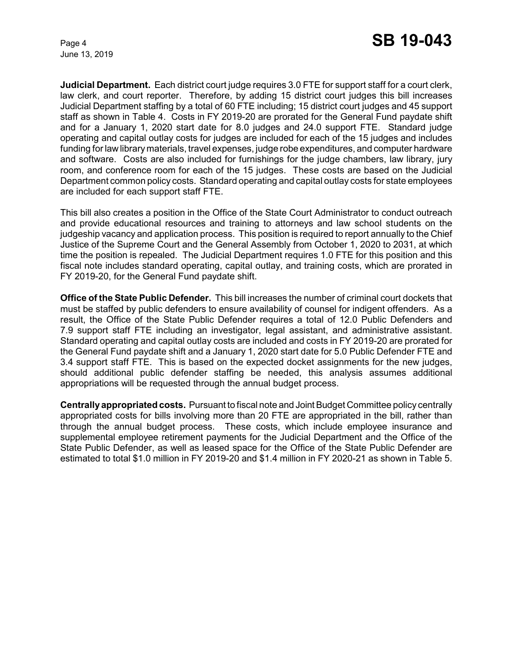June 13, 2019

**Judicial Department.** Each district court judge requires 3.0 FTE for support staff for a court clerk, law clerk, and court reporter. Therefore, by adding 15 district court judges this bill increases Judicial Department staffing by a total of 60 FTE including; 15 district court judges and 45 support staff as shown in Table 4. Costs in FY 2019-20 are prorated for the General Fund paydate shift and for a January 1, 2020 start date for 8.0 judges and 24.0 support FTE. Standard judge operating and capital outlay costs for judges are included for each of the 15 judges and includes funding for law library materials, travel expenses, judge robe expenditures, and computer hardware and software. Costs are also included for furnishings for the judge chambers, law library, jury room, and conference room for each of the 15 judges. These costs are based on the Judicial Department common policy costs. Standard operating and capital outlay costs for state employees are included for each support staff FTE.

This bill also creates a position in the Office of the State Court Administrator to conduct outreach and provide educational resources and training to attorneys and law school students on the judgeship vacancy and application process. This position is required to report annually to the Chief Justice of the Supreme Court and the General Assembly from October 1, 2020 to 2031, at which time the position is repealed. The Judicial Department requires 1.0 FTE for this position and this fiscal note includes standard operating, capital outlay, and training costs, which are prorated in FY 2019-20, for the General Fund paydate shift.

**Office of the State Public Defender.** This bill increases the number of criminal court dockets that must be staffed by public defenders to ensure availability of counsel for indigent offenders. As a result, the Office of the State Public Defender requires a total of 12.0 Public Defenders and 7.9 support staff FTE including an investigator, legal assistant, and administrative assistant. Standard operating and capital outlay costs are included and costs in FY 2019-20 are prorated for the General Fund paydate shift and a January 1, 2020 start date for 5.0 Public Defender FTE and 3.4 support staff FTE. This is based on the expected docket assignments for the new judges, should additional public defender staffing be needed, this analysis assumes additional appropriations will be requested through the annual budget process.

**Centrally appropriated costs.** Pursuant to fiscal note and Joint Budget Committee policy centrally appropriated costs for bills involving more than 20 FTE are appropriated in the bill, rather than through the annual budget process. These costs, which include employee insurance and supplemental employee retirement payments for the Judicial Department and the Office of the State Public Defender, as well as leased space for the Office of the State Public Defender are estimated to total \$1.0 million in FY 2019-20 and \$1.4 million in FY 2020-21 as shown in Table 5.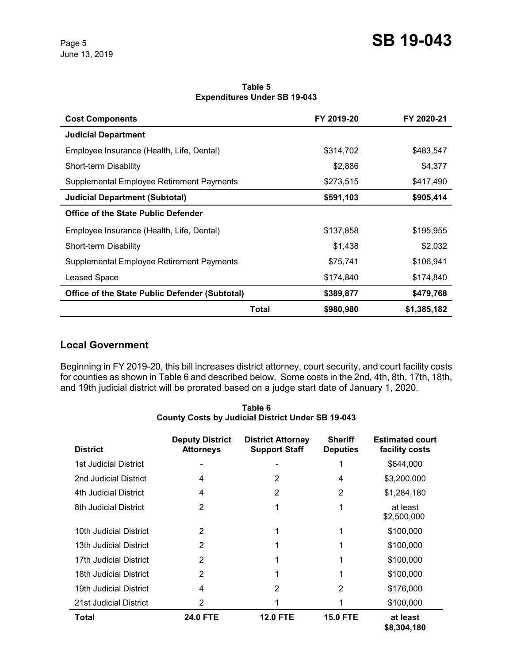**Table 5 Expenditures Under SB 19-043**

| <b>Cost Components</b>                                |       | FY 2019-20 | FY 2020-21  |
|-------------------------------------------------------|-------|------------|-------------|
| <b>Judicial Department</b>                            |       |            |             |
| Employee Insurance (Health, Life, Dental)             |       | \$314,702  | \$483,547   |
| Short-term Disability                                 |       | \$2,886    | \$4,377     |
| Supplemental Employee Retirement Payments             |       | \$273,515  | \$417,490   |
| <b>Judicial Department (Subtotal)</b>                 |       | \$591,103  | \$905,414   |
| Office of the State Public Defender                   |       |            |             |
| Employee Insurance (Health, Life, Dental)             |       | \$137,858  | \$195,955   |
| Short-term Disability                                 |       | \$1,438    | \$2,032     |
| Supplemental Employee Retirement Payments             |       | \$75,741   | \$106,941   |
| <b>Leased Space</b>                                   |       | \$174,840  | \$174,840   |
| <b>Office of the State Public Defender (Subtotal)</b> |       | \$389,877  | \$479,768   |
|                                                       | Total | \$980,980  | \$1,385,182 |

### **Local Government**

Beginning in FY 2019-20, this bill increases district attorney, court security, and court facility costs for counties as shown in Table 6 and described below. Some costs in the 2nd, 4th, 8th, 17th, 18th, and 19th judicial district will be prorated based on a judge start date of January 1, 2020.

**Table 6 County Costs by Judicial District Under SB 19-043**

| <b>District</b>        | <b>Deputy District</b><br><b>Attorneys</b> | <b>District Attorney</b><br><b>Support Staff</b> | <b>Sheriff</b><br><b>Deputies</b> | <b>Estimated court</b><br>facility costs |
|------------------------|--------------------------------------------|--------------------------------------------------|-----------------------------------|------------------------------------------|
| 1st Judicial District  |                                            |                                                  | 1                                 | \$644,000                                |
| 2nd Judicial District  | 4                                          | 2                                                | 4                                 | \$3,200,000                              |
| 4th Judicial District  | 4                                          | 2                                                | 2                                 | \$1,284,180                              |
| 8th Judicial District  | 2                                          |                                                  | 1                                 | at least<br>\$2,500,000                  |
| 10th Judicial District | 2                                          |                                                  |                                   | \$100,000                                |
| 13th Judicial District | 2                                          |                                                  | 1                                 | \$100,000                                |
| 17th Judicial District | 2                                          |                                                  |                                   | \$100,000                                |
| 18th Judicial District | 2                                          | 1                                                |                                   | \$100,000                                |
| 19th Judicial District | 4                                          | 2                                                | 2                                 | \$176,000                                |
| 21st Judicial District | 2                                          |                                                  |                                   | \$100,000                                |
| Total                  | <b>24.0 FTE</b>                            | <b>12.0 FTE</b>                                  | <b>15.0 FTE</b>                   | at least<br>\$8,304,180                  |